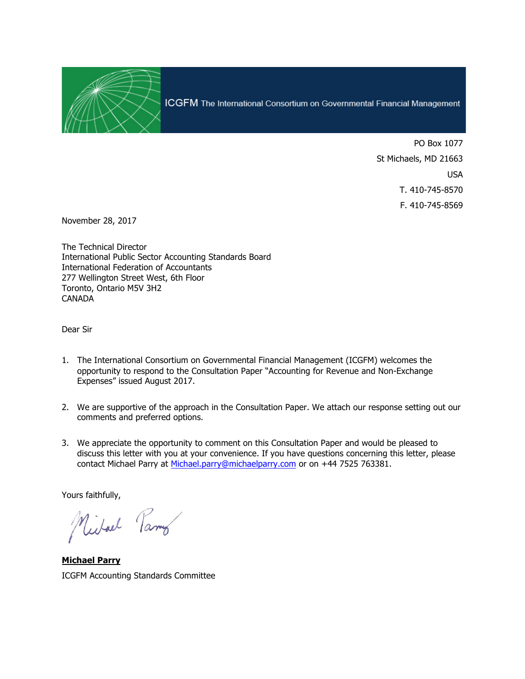

ICGFM The International Consortium on Governmental Financial Management

PO Box 1077 St Michaels, MD 21663 USA T. 410-745-8570 F. 410-745-8569

November 28, 2017

The Technical Director International Public Sector Accounting Standards Board International Federation of Accountants 277 Wellington Street West, 6th Floor Toronto, Ontario M5V 3H2 **CANADA** 

Dear Sir

- 1. The International Consortium on Governmental Financial Management (ICGFM) welcomes the opportunity to respond to the Consultation Paper "Accounting for Revenue and Non-Exchange Expenses" issued August 2017.
- 2. We are supportive of the approach in the Consultation Paper. We attach our response setting out our comments and preferred options.
- 3. We appreciate the opportunity to comment on this Consultation Paper and would be pleased to discuss this letter with you at your convenience. If you have questions concerning this letter, please contact Michael Parry at Michael.parry@michaelparry.com or on +44 7525 763381.

Yours faithfully,

Michael Parmy

**Michael Parry**  ICGFM Accounting Standards Committee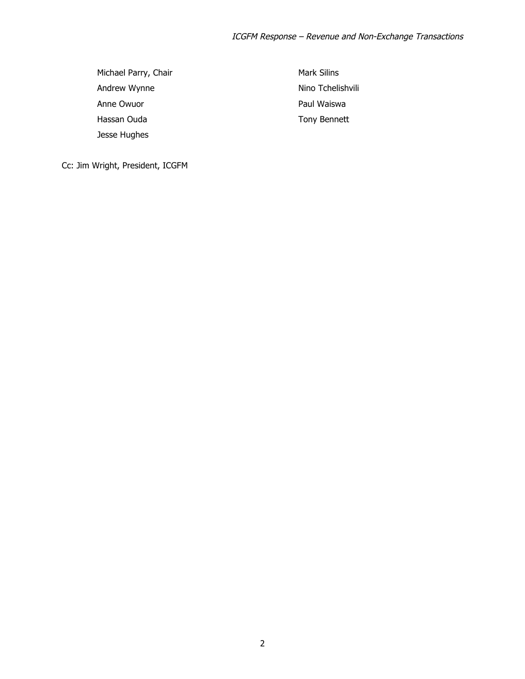Michael Parry, Chair Andrew Wynne Anne Owuor Hassan Ouda Jesse Hughes

Mark Silins Nino Tchelishvili Paul Waiswa Tony Bennett

Cc: Jim Wright, President, ICGFM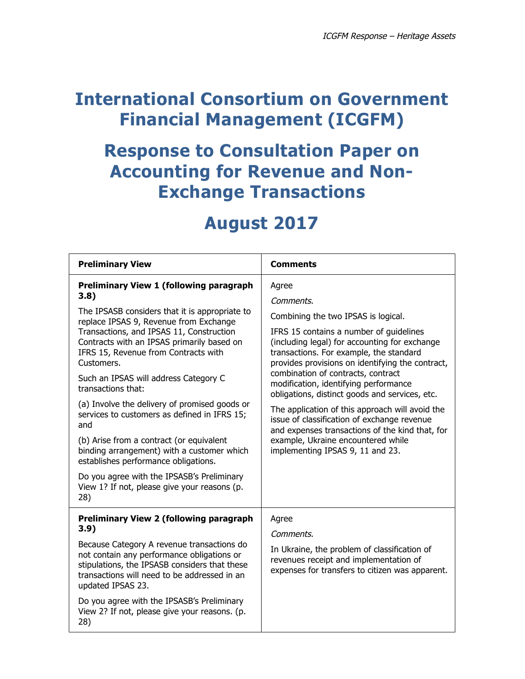## **International Consortium on Government Financial Management (ICGFM)**

## **Response to Consultation Paper on Accounting for Revenue and Non-Exchange Transactions**

## **August 2017**

| <b>Preliminary View</b>                                                                                                                                                                                                                                                                                                                                                                                                                                                                                                                                                                                                                                                                                          | <b>Comments</b>                                                                                                                                                                                                                                                                                                                                                                                                                                                                                                                                                                                                      |
|------------------------------------------------------------------------------------------------------------------------------------------------------------------------------------------------------------------------------------------------------------------------------------------------------------------------------------------------------------------------------------------------------------------------------------------------------------------------------------------------------------------------------------------------------------------------------------------------------------------------------------------------------------------------------------------------------------------|----------------------------------------------------------------------------------------------------------------------------------------------------------------------------------------------------------------------------------------------------------------------------------------------------------------------------------------------------------------------------------------------------------------------------------------------------------------------------------------------------------------------------------------------------------------------------------------------------------------------|
| <b>Preliminary View 1 (following paragraph</b><br>3.8)<br>The IPSASB considers that it is appropriate to<br>replace IPSAS 9, Revenue from Exchange<br>Transactions, and IPSAS 11, Construction<br>Contracts with an IPSAS primarily based on<br>IFRS 15, Revenue from Contracts with<br>Customers.<br>Such an IPSAS will address Category C<br>transactions that:<br>(a) Involve the delivery of promised goods or<br>services to customers as defined in IFRS 15;<br>and<br>(b) Arise from a contract (or equivalent<br>binding arrangement) with a customer which<br>establishes performance obligations.<br>Do you agree with the IPSASB's Preliminary<br>View 1? If not, please give your reasons (p.<br>28) | Agree<br>Comments.<br>Combining the two IPSAS is logical.<br>IFRS 15 contains a number of quidelines<br>(including legal) for accounting for exchange<br>transactions. For example, the standard<br>provides provisions on identifying the contract,<br>combination of contracts, contract<br>modification, identifying performance<br>obligations, distinct goods and services, etc.<br>The application of this approach will avoid the<br>issue of classification of exchange revenue<br>and expenses transactions of the kind that, for<br>example, Ukraine encountered while<br>implementing IPSAS 9, 11 and 23. |
| <b>Preliminary View 2 (following paragraph</b><br>3.9)<br>Because Category A revenue transactions do<br>not contain any performance obligations or<br>stipulations, the IPSASB considers that these<br>transactions will need to be addressed in an<br>updated IPSAS 23.<br>Do you agree with the IPSASB's Preliminary<br>View 2? If not, please give your reasons. (p.<br>28)                                                                                                                                                                                                                                                                                                                                   | Agree<br>Comments.<br>In Ukraine, the problem of classification of<br>revenues receipt and implementation of<br>expenses for transfers to citizen was apparent.                                                                                                                                                                                                                                                                                                                                                                                                                                                      |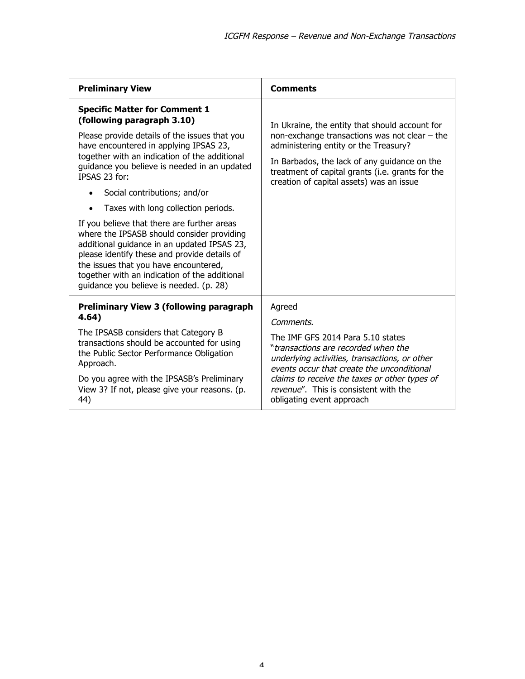| <b>Preliminary View</b>                                                                                                                                                                                                                                                                                                                                                                                                                                                                                                                                                                                                                                                                 | <b>Comments</b>                                                                                                                                                                                                                                                                                                       |
|-----------------------------------------------------------------------------------------------------------------------------------------------------------------------------------------------------------------------------------------------------------------------------------------------------------------------------------------------------------------------------------------------------------------------------------------------------------------------------------------------------------------------------------------------------------------------------------------------------------------------------------------------------------------------------------------|-----------------------------------------------------------------------------------------------------------------------------------------------------------------------------------------------------------------------------------------------------------------------------------------------------------------------|
| <b>Specific Matter for Comment 1</b><br>(following paragraph 3.10)<br>Please provide details of the issues that you<br>have encountered in applying IPSAS 23,<br>together with an indication of the additional<br>guidance you believe is needed in an updated<br>IPSAS 23 for:<br>Social contributions; and/or<br>Taxes with long collection periods.<br>If you believe that there are further areas<br>where the IPSASB should consider providing<br>additional guidance in an updated IPSAS 23,<br>please identify these and provide details of<br>the issues that you have encountered,<br>together with an indication of the additional<br>quidance you believe is needed. (p. 28) | In Ukraine, the entity that should account for<br>non-exchange transactions was not clear $-$ the<br>administering entity or the Treasury?<br>In Barbados, the lack of any guidance on the<br>treatment of capital grants (i.e. grants for the<br>creation of capital assets) was an issue                            |
| <b>Preliminary View 3 (following paragraph</b><br>4.64)<br>The IPSASB considers that Category B<br>transactions should be accounted for using<br>the Public Sector Performance Obligation<br>Approach.<br>Do you agree with the IPSASB's Preliminary<br>View 3? If not, please give your reasons. (p.<br>44)                                                                                                                                                                                                                                                                                                                                                                            | Agreed<br>Comments.<br>The IMF GFS 2014 Para 5.10 states<br>"transactions are recorded when the<br>underlying activities, transactions, or other<br>events occur that create the unconditional<br>claims to receive the taxes or other types of<br>revenue". This is consistent with the<br>obligating event approach |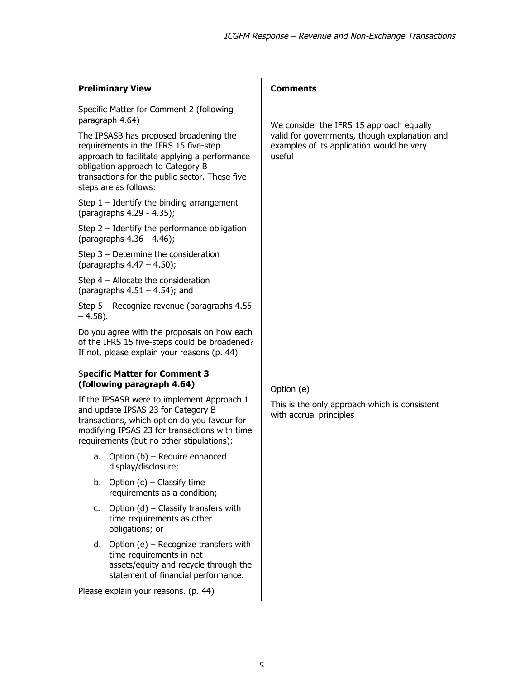| <b>Preliminary View</b>                                                                                                                                                                                                                          | <b>Comments</b>                                                                                                                                  |
|--------------------------------------------------------------------------------------------------------------------------------------------------------------------------------------------------------------------------------------------------|--------------------------------------------------------------------------------------------------------------------------------------------------|
| Specific Matter for Comment 2 (following<br>paragraph 4.64)                                                                                                                                                                                      | We consider the IFRS 15 approach equally<br>valid for governments, though explanation and<br>examples of its application would be very<br>useful |
| The IPSASB has proposed broadening the<br>requirements in the IFRS 15 five-step<br>approach to facilitate applying a performance<br>obligation approach to Category B<br>transactions for the public sector. These five<br>steps are as follows: |                                                                                                                                                  |
| Step $1$ – Identify the binding arrangement<br>(paragraphs 4.29 - 4.35);                                                                                                                                                                         |                                                                                                                                                  |
| Step $2$ – Identify the performance obligation<br>(paragraphs 4.36 - 4.46);                                                                                                                                                                      |                                                                                                                                                  |
| Step $3$ – Determine the consideration<br>(paragraphs $4.47 - 4.50$ );                                                                                                                                                                           |                                                                                                                                                  |
| Step $4$ – Allocate the consideration<br>(paragraphs $4.51 - 4.54$ ); and                                                                                                                                                                        |                                                                                                                                                  |
| Step 5 - Recognize revenue (paragraphs 4.55<br>$-4.58$ ).                                                                                                                                                                                        |                                                                                                                                                  |
| Do you agree with the proposals on how each<br>of the IFRS 15 five-steps could be broadened?<br>If not, please explain your reasons (p. 44)                                                                                                      |                                                                                                                                                  |
| <b>Specific Matter for Comment 3</b><br>(following paragraph 4.64)                                                                                                                                                                               | Option (e)<br>This is the only approach which is consistent<br>with accrual principles                                                           |
| If the IPSASB were to implement Approach 1<br>and update IPSAS 23 for Category B<br>transactions, which option do you favour for<br>modifying IPSAS 23 for transactions with time<br>requirements (but no other stipulations):                   |                                                                                                                                                  |
| Option (b) - Require enhanced<br>а.<br>display/disclosure;                                                                                                                                                                                       |                                                                                                                                                  |
| Option $(c)$ – Classify time<br>b.<br>requirements as a condition;                                                                                                                                                                               |                                                                                                                                                  |
| Option $(d)$ – Classify transfers with<br>C.<br>time requirements as other<br>obligations; or                                                                                                                                                    |                                                                                                                                                  |
| d. Option $(e)$ – Recognize transfers with<br>time requirements in net<br>assets/equity and recycle through the<br>statement of financial performance.                                                                                           |                                                                                                                                                  |
| Please explain your reasons. (p. 44)                                                                                                                                                                                                             |                                                                                                                                                  |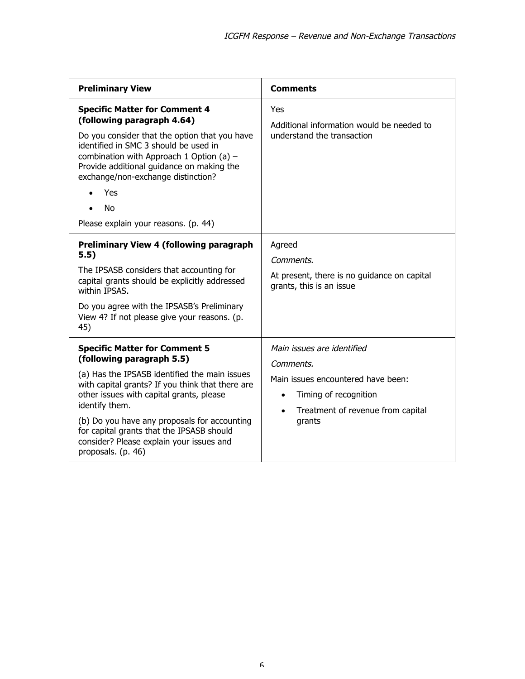| <b>Preliminary View</b>                                                                                                                                                                                                                                                                                                                                                                             | <b>Comments</b>                                                                                                                                                                 |
|-----------------------------------------------------------------------------------------------------------------------------------------------------------------------------------------------------------------------------------------------------------------------------------------------------------------------------------------------------------------------------------------------------|---------------------------------------------------------------------------------------------------------------------------------------------------------------------------------|
| <b>Specific Matter for Comment 4</b><br>(following paragraph 4.64)<br>Do you consider that the option that you have<br>identified in SMC 3 should be used in<br>combination with Approach 1 Option (a) $-$<br>Provide additional guidance on making the<br>exchange/non-exchange distinction?<br>Yes<br><b>No</b><br>Please explain your reasons. (p. 44)                                           | Yes<br>Additional information would be needed to<br>understand the transaction                                                                                                  |
| <b>Preliminary View 4 (following paragraph</b><br>5.5)<br>The IPSASB considers that accounting for<br>capital grants should be explicitly addressed<br>within IPSAS.<br>Do you agree with the IPSASB's Preliminary<br>View 4? If not please give your reasons. (p.<br>45)                                                                                                                           | Agreed<br>Comments.<br>At present, there is no guidance on capital<br>grants, this is an issue                                                                                  |
| <b>Specific Matter for Comment 5</b><br>(following paragraph 5.5)<br>(a) Has the IPSASB identified the main issues<br>with capital grants? If you think that there are<br>other issues with capital grants, please<br>identify them.<br>(b) Do you have any proposals for accounting<br>for capital grants that the IPSASB should<br>consider? Please explain your issues and<br>proposals. (p. 46) | Main issues are identified<br>Comments.<br>Main issues encountered have been:<br>Timing of recognition<br>$\bullet$<br>Treatment of revenue from capital<br>$\bullet$<br>grants |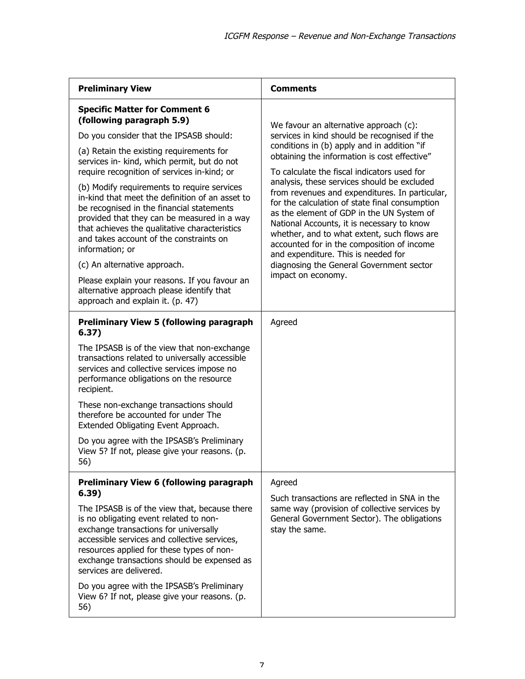| <b>Preliminary View</b>                                                                                                                                                                                                                                                                                                                                                                                                                                                                                                                                                                                                                                                                                                               | <b>Comments</b>                                                                                                                                                                                                                                                                                                                                                                                                                                                                                                                                                                                                                                                                          |
|---------------------------------------------------------------------------------------------------------------------------------------------------------------------------------------------------------------------------------------------------------------------------------------------------------------------------------------------------------------------------------------------------------------------------------------------------------------------------------------------------------------------------------------------------------------------------------------------------------------------------------------------------------------------------------------------------------------------------------------|------------------------------------------------------------------------------------------------------------------------------------------------------------------------------------------------------------------------------------------------------------------------------------------------------------------------------------------------------------------------------------------------------------------------------------------------------------------------------------------------------------------------------------------------------------------------------------------------------------------------------------------------------------------------------------------|
| <b>Specific Matter for Comment 6</b><br>(following paragraph 5.9)<br>Do you consider that the IPSASB should:<br>(a) Retain the existing requirements for<br>services in- kind, which permit, but do not<br>require recognition of services in-kind; or<br>(b) Modify requirements to require services<br>in-kind that meet the definition of an asset to<br>be recognised in the financial statements<br>provided that they can be measured in a way<br>that achieves the qualitative characteristics<br>and takes account of the constraints on<br>information; or<br>(c) An alternative approach.<br>Please explain your reasons. If you favour an<br>alternative approach please identify that<br>approach and explain it. (p. 47) | We favour an alternative approach (c):<br>services in kind should be recognised if the<br>conditions in (b) apply and in addition "if<br>obtaining the information is cost effective"<br>To calculate the fiscal indicators used for<br>analysis, these services should be excluded<br>from revenues and expenditures. In particular,<br>for the calculation of state final consumption<br>as the element of GDP in the UN System of<br>National Accounts, it is necessary to know<br>whether, and to what extent, such flows are<br>accounted for in the composition of income<br>and expenditure. This is needed for<br>diagnosing the General Government sector<br>impact on economy. |
| <b>Preliminary View 5 (following paragraph</b><br>6.37)<br>The IPSASB is of the view that non-exchange<br>transactions related to universally accessible<br>services and collective services impose no<br>performance obligations on the resource<br>recipient.<br>These non-exchange transactions should<br>therefore be accounted for under The<br>Extended Obligating Event Approach.<br>Do you agree with the IPSASB's Preliminary<br>View 5? If not, please give your reasons. (p.<br>56)                                                                                                                                                                                                                                        | Agreed                                                                                                                                                                                                                                                                                                                                                                                                                                                                                                                                                                                                                                                                                   |
| <b>Preliminary View 6 (following paragraph</b><br>6.39)<br>The IPSASB is of the view that, because there<br>is no obligating event related to non-<br>exchange transactions for universally<br>accessible services and collective services,<br>resources applied for these types of non-<br>exchange transactions should be expensed as<br>services are delivered.<br>Do you agree with the IPSASB's Preliminary<br>View 6? If not, please give your reasons. (p.<br>56)                                                                                                                                                                                                                                                              | Agreed<br>Such transactions are reflected in SNA in the<br>same way (provision of collective services by<br>General Government Sector). The obligations<br>stay the same.                                                                                                                                                                                                                                                                                                                                                                                                                                                                                                                |